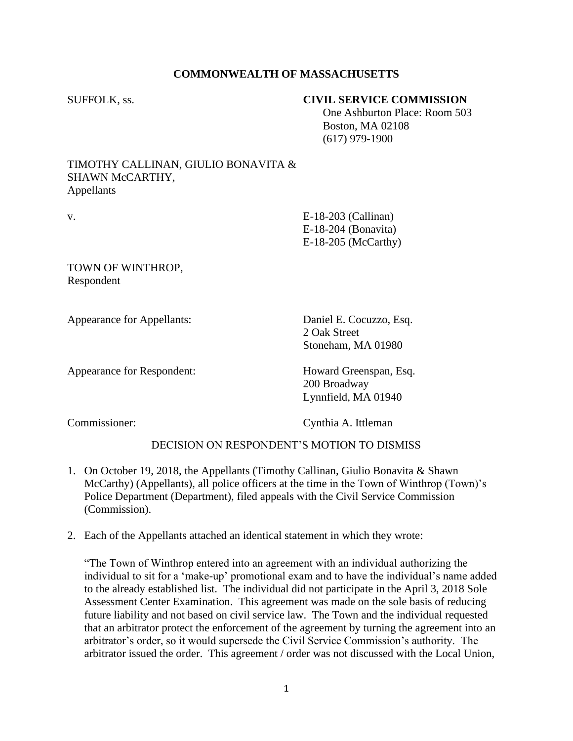# **COMMONWEALTH OF MASSACHUSETTS**

# SUFFOLK, ss. **CIVIL SERVICE COMMISSION**

 One Ashburton Place: Room 503 Boston, MA 02108 (617) 979-1900

### TIMOTHY CALLINAN, GIULIO BONAVITA & SHAWN McCARTHY, Appellants

v. E-18-203 (Callinan) E-18-204 (Bonavita) E-18-205 (McCarthy)

TOWN OF WINTHROP, Respondent

Appearance for Appellants: Daniel E. Cocuzzo, Esq.

2 Oak Street Stoneham, MA 01980

Appearance for Respondent: Howard Greenspan, Esq.

200 Broadway Lynnfield, MA 01940

Commissioner: Cynthia A. Ittleman

# DECISION ON RESPONDENT'S MOTION TO DISMISS

- 1. On October 19, 2018, the Appellants (Timothy Callinan, Giulio Bonavita & Shawn McCarthy) (Appellants), all police officers at the time in the Town of Winthrop (Town)'s Police Department (Department), filed appeals with the Civil Service Commission (Commission).
- 2. Each of the Appellants attached an identical statement in which they wrote:

"The Town of Winthrop entered into an agreement with an individual authorizing the individual to sit for a 'make-up' promotional exam and to have the individual's name added to the already established list. The individual did not participate in the April 3, 2018 Sole Assessment Center Examination. This agreement was made on the sole basis of reducing future liability and not based on civil service law. The Town and the individual requested that an arbitrator protect the enforcement of the agreement by turning the agreement into an arbitrator's order, so it would supersede the Civil Service Commission's authority. The arbitrator issued the order. This agreement / order was not discussed with the Local Union,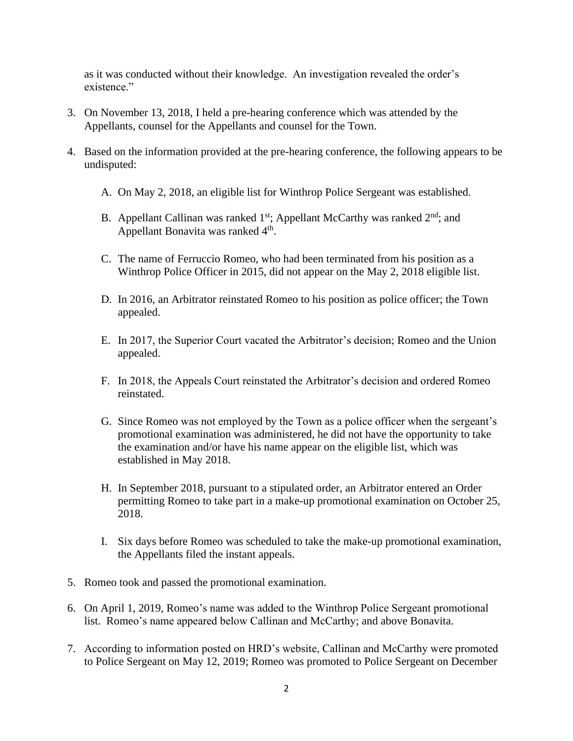as it was conducted without their knowledge. An investigation revealed the order's existence."

- 3. On November 13, 2018, I held a pre-hearing conference which was attended by the Appellants, counsel for the Appellants and counsel for the Town.
- 4. Based on the information provided at the pre-hearing conference, the following appears to be undisputed:
	- A. On May 2, 2018, an eligible list for Winthrop Police Sergeant was established.
	- B. Appellant Callinan was ranked 1<sup>st</sup>; Appellant McCarthy was ranked 2<sup>nd</sup>; and Appellant Bonavita was ranked 4<sup>th</sup>.
	- C. The name of Ferruccio Romeo, who had been terminated from his position as a Winthrop Police Officer in 2015, did not appear on the May 2, 2018 eligible list.
	- D. In 2016, an Arbitrator reinstated Romeo to his position as police officer; the Town appealed.
	- E. In 2017, the Superior Court vacated the Arbitrator's decision; Romeo and the Union appealed.
	- F. In 2018, the Appeals Court reinstated the Arbitrator's decision and ordered Romeo reinstated.
	- G. Since Romeo was not employed by the Town as a police officer when the sergeant's promotional examination was administered, he did not have the opportunity to take the examination and/or have his name appear on the eligible list, which was established in May 2018.
	- H. In September 2018, pursuant to a stipulated order, an Arbitrator entered an Order permitting Romeo to take part in a make-up promotional examination on October 25, 2018.
	- I. Six days before Romeo was scheduled to take the make-up promotional examination, the Appellants filed the instant appeals.
- 5. Romeo took and passed the promotional examination.
- 6. On April 1, 2019, Romeo's name was added to the Winthrop Police Sergeant promotional list. Romeo's name appeared below Callinan and McCarthy; and above Bonavita.
- 7. According to information posted on HRD's website, Callinan and McCarthy were promoted to Police Sergeant on May 12, 2019; Romeo was promoted to Police Sergeant on December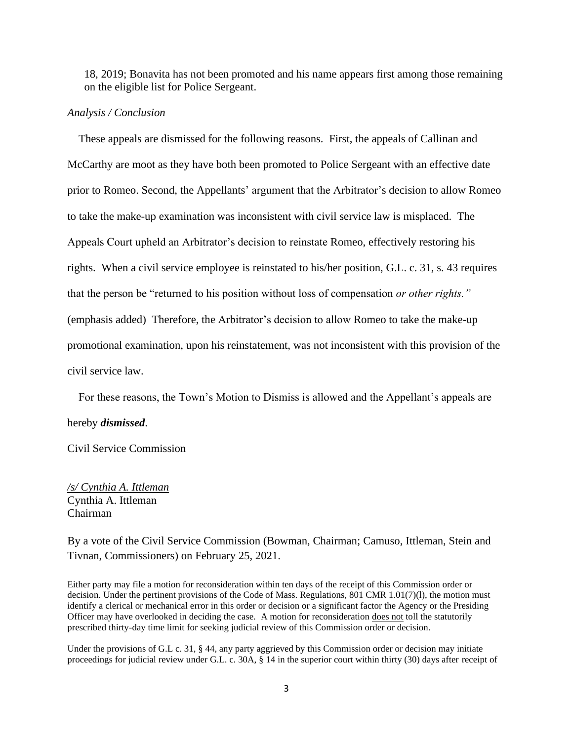18, 2019; Bonavita has not been promoted and his name appears first among those remaining on the eligible list for Police Sergeant.

#### *Analysis / Conclusion*

 These appeals are dismissed for the following reasons. First, the appeals of Callinan and McCarthy are moot as they have both been promoted to Police Sergeant with an effective date prior to Romeo. Second, the Appellants' argument that the Arbitrator's decision to allow Romeo to take the make-up examination was inconsistent with civil service law is misplaced. The Appeals Court upheld an Arbitrator's decision to reinstate Romeo, effectively restoring his rights. When a civil service employee is reinstated to his/her position, G.L. c. 31, s. 43 requires that the person be "returned to his position without loss of compensation *or other rights."*  (emphasis added) Therefore, the Arbitrator's decision to allow Romeo to take the make-up promotional examination, upon his reinstatement, was not inconsistent with this provision of the civil service law.

 For these reasons, the Town's Motion to Dismiss is allowed and the Appellant's appeals are hereby *dismissed*.

Civil Service Commission

*/s/ Cynthia A. Ittleman* Cynthia A. Ittleman Chairman

By a vote of the Civil Service Commission (Bowman, Chairman; Camuso, Ittleman, Stein and Tivnan, Commissioners) on February 25, 2021.

Either party may file a motion for reconsideration within ten days of the receipt of this Commission order or decision. Under the pertinent provisions of the Code of Mass. Regulations, 801 CMR 1.01(7)(l), the motion must identify a clerical or mechanical error in this order or decision or a significant factor the Agency or the Presiding Officer may have overlooked in deciding the case. A motion for reconsideration does not toll the statutorily prescribed thirty-day time limit for seeking judicial review of this Commission order or decision.

Under the provisions of G.L c. 31, § 44, any party aggrieved by this Commission order or decision may initiate proceedings for judicial review under G.L. c. 30A, § 14 in the superior court within thirty (30) days after receipt of